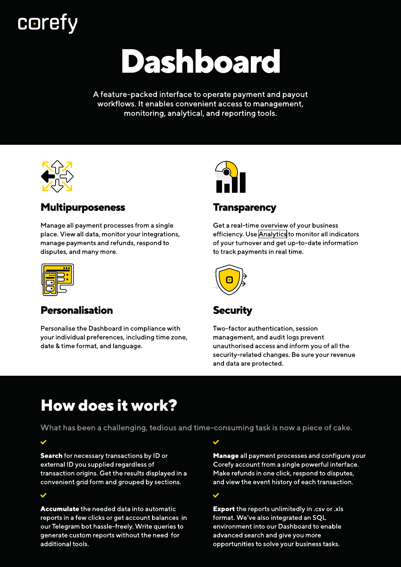## **corefy**

# Dashboard

A feature-packed interface to operate payment and payout workflows. It enables convenient access to management, monitoring, analytical, and reporting tools.



### Multipurposeness

Manage all payment processes from a single place. View all data, monitor your integrations, manage payments and refunds, respond to disputes, and many more.



### Personalisation

Personalise the Dashboard in compliance with your individual preferences, including time zone, date & time format, and language.



### **Transparency**

Get a real-time overview of your business efficiency. Use [Analytics](https://corefy.com/analytics) to monitor all indicators of your turnover and get up-to-date information to track payments in real time.



## Security

Two-factor authentication, session management, and audit logs prevent unauthorised access and inform you of all the security-related changes. Be sure your revenue and data are protected.

## How does it work?

What has been a challenging, tedious and time-consuming task is now a piece of cake.

Search for necessary transactions by ID or external ID you supplied regardless of transaction origins. Get the results displayed in a convenient grid form and grouped by sections.

Accumulate the needed data into automatic reports in a few clicks or get account balances in our Telegram bot hassle-freely. Write queries to generate custom reports without the need for additional tools.

Manage all payment processes and configure your Corefy account from a single powerful interface. Make refunds in one click, respond to disputes, and view the event history of each transaction.

Export the reports unlimitedly in .csv or .xls format. We've also integrated an SQL environment into our Dashboard to enable advanced search and give you more opportunities to solve your business tasks.